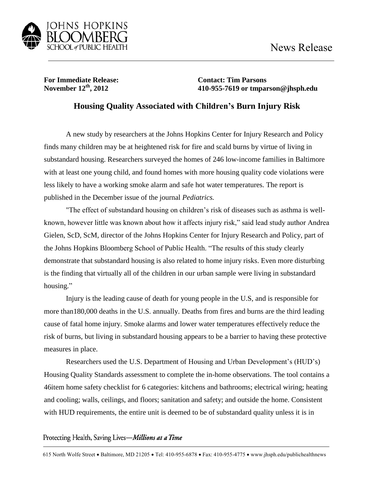

**For Immediate Release: Contact: Tim Parsons**<br>November  $12^{\text{th}}$ , 2012 **410-955-7619** or tmpar

**November 12th, 2012 410-955-7619 or tmparson@jhsph.edu**

## **Housing Quality Associated with Children's Burn Injury Risk**

A new study by researchers at the Johns Hopkins Center for Injury Research and Policy finds many children may be at heightened risk for fire and scald burns by virtue of living in substandard housing. Researchers surveyed the homes of 246 low-income families in Baltimore with at least one young child, and found homes with more housing quality code violations were less likely to have a working smoke alarm and safe hot water temperatures. The report is published in the December issue of the journal *Pediatrics.* 

"The effect of substandard housing on children's risk of diseases such as asthma is wellknown, however little was known about how it affects injury risk," said lead study author Andrea Gielen, ScD, ScM, director of the Johns Hopkins Center for Injury Research and Policy, part of the Johns Hopkins Bloomberg School of Public Health. "The results of this study clearly demonstrate that substandard housing is also related to home injury risks. Even more disturbing is the finding that virtually all of the children in our urban sample were living in substandard housing."

Injury is the leading cause of death for young people in the U.S, and is responsible for more than180,000 deaths in the U.S. annually. Deaths from fires and burns are the third leading cause of fatal home injury. Smoke alarms and lower water temperatures effectively reduce the risk of burns, but living in substandard housing appears to be a barrier to having these protective measures in place.

Researchers used the U.S. Department of Housing and Urban Development's (HUD's) Housing Quality Standards assessment to complete the in-home observations. The tool contains a 46item home safety checklist for 6 categories: kitchens and bathrooms; electrical wiring; heating and cooling; walls, ceilings, and floors; sanitation and safety; and outside the home. Consistent with HUD requirements, the entire unit is deemed to be of substandard quality unless it is in

Protecting Health, Saving Lives-Millions at a Time